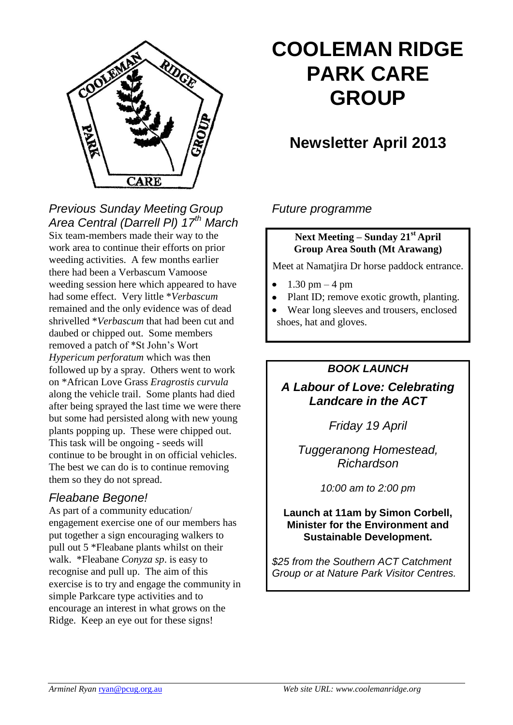

# **COOLEMAN RIDGE PARK CARE GROUP**

## **Newsletter April 2013**

#### *Previous Sunday Meeting Group Area Central (Darrell Pl) 17th March*

Six team-members made their way to the work area to continue their efforts on prior weeding activities. A few months earlier there had been a Verbascum Vamoose weeding session here which appeared to have had some effect. Very little \**Verbascum* remained and the only evidence was of dead shrivelled \**Verbascum* that had been cut and daubed or chipped out. Some members removed a patch of \*St John's Wort *Hypericum perforatum* which was then followed up by a spray. Others went to work on \*African Love Grass *Eragrostis curvula*  along the vehicle trail. Some plants had died after being sprayed the last time we were there but some had persisted along with new young plants popping up. These were chipped out. This task will be ongoing - seeds will continue to be brought in on official vehicles. The best we can do is to continue removing them so they do not spread.

## *Fleabane Begone!*

As part of a community education/ engagement exercise one of our members has put together a sign encouraging walkers to pull out 5 \*Fleabane plants whilst on their walk. \*Fleabane *Conyza sp*. is easy to recognise and pull up. The aim of this exercise is to try and engage the community in simple Parkcare type activities and to encourage an interest in what grows on the Ridge. Keep an eye out for these signs!

## *Future programme*

#### **Next Meeting – Sunday 21st April Group Area South (Mt Arawang)**

Meet at Namatjira Dr horse paddock entrance.

- $1.30 \text{ pm} 4 \text{ pm}$
- Plant ID; remove exotic growth, planting.

Wear long sleeves and trousers, enclosed shoes, hat and gloves.

#### *BOOK LAUNCH*

*A Labour of Love: Celebrating Landcare in the ACT*

*Friday 19 April* 

*Tuggeranong Homestead, Richardson*

*10:00 am to 2:00 pm*

#### **Launch at 11am by Simon Corbell, Minister for the Environment and Sustainable Development.**

*\$25 from the Southern ACT Catchment Group or at Nature Park Visitor Centres.*